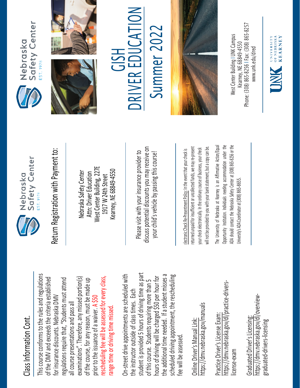## Class Information Cont. Class Information Cont.

This course conforms to the rules and regulations This course conforms to the rules and regulations rescheduling fee will be assessed for every class, examinations". Therefore, any missed portion(s) of the DMV and exceeds the criteria established regulations require that, "Students must attend rescheduling fee will be assessed for every class, of the DMV and exceeds the criteria established examinations". Therefore, any missed portion(s) of the course, for any reason, must be made up regulations require that, "Students must attend of the course, for any reason, must be made up for insurance discounts. Nebraska DMV for insurance discounts. Nebraska DMV prior to the issuance of a waiver. A \$50 all course presentations and pass all all course presentations and pass all range time or driving time missed. range time or driving time missed. prior to the issuance of a waiver.

student is provided 5 hours of driving time as part On-street drive appointments are scheduled with student is provided 5 hours of driving time as part the additional time needed. If a student misses a scheduled driving appointment, the rescheduling the additional time needed. If a student misses a On-street drive appointments are scheduled with hours of driving will be charged \$50 per hour for hours of driving will be charged \$50 per hour for scheduled driving appointment, the rescheduling of this course. Students requiring more than 5 of this course. Students requiring more than 5 the instructor outside of class times. Each the instructor outside of class times. Each fee will be assessed. fee will be assessed

https://dmv.nebraska.gov/manuals https://dmv.nebraska.gov/manuals Online Driver's Manual Link: Online Driver's Manual Link:

https://dmv.nebraska.gov/dl/practice-drivershttps://dmv.nebraska.gov/dl/practice-drivers-Practice Driver's License Exam: Practice Driver's License Exam: license-exam icense-exam

https://dmv.nebraska.gov/dl/overviewhttps://dmv.nebraska.gov/dl/overview-Graduated Driver's Licensing: Graduated Driver's Licensing: graduated-drivers-licensing graduated-drivers-licensing



Nebraska Safety Center Attn: Driver Education West Center Building, 227E 1917 W 24th Street Kearney, NE 68849-4550

Please visit with your insurance provider to discuss potential discounts you may receive on potential discounts you may receive on your child's vehicle by passing this course! Return Registration with Payment to:<br>
Nebraska Safety Center<br>
Attn: Driver Education<br>
1917 W 24th Street<br>
Rearney, NE 68849-4550<br>
Rease visit with your insurance provider to<br>
Please visit with your insurance provider to<br>
y

returned unpaid for insufficient or uncollected funds, we may re-present a copy can be. returned unpaid for insufficient or uncollected funds, we may re-present will not be provided to you with your bank statement, but a copy can be. your check electronically. In the ordinary course of business, your check your check electronically. In the ordinary course of business, your check will not be provided to you with your bank statement, but

The University of Nebraska at Kearney is an Affirmative Action/Equal The University of Nebraska at Kearney is an Affirmative Action/Equal Opportunity Institution. Individuals needing accommodation under the ADA should contact the Nebraska Safety Center at (308) 865-8256 or the Opportunity Institution. Individuals needing accommodation under the ADA should contact the Nebraska Safety Center at (308) 865-8256 or the Jniversity's ADA Coordinator at (308) 865-8655. University's ADA Coordinator at (308) 86







## GISH **NC KIVE** E R EDUCA TO L Summer 202 Summer 2022



Phone: (308) 865-8256 | Fax: (308) 865-8257 West Center Building I UNK Campus Nest Center Building I UNK Campus -8256 I Fax: (308) 865 Kearney, NE 68849-4550 www.unk.edu/dred [www.unk.edu/dred](http://www.unk.edu/dred) Kearney, NE 68849 Phone: (308) 865

UNIVERSITY<br>
OF NEBRASKA<br>
KFARNEY

**KEARNEY**